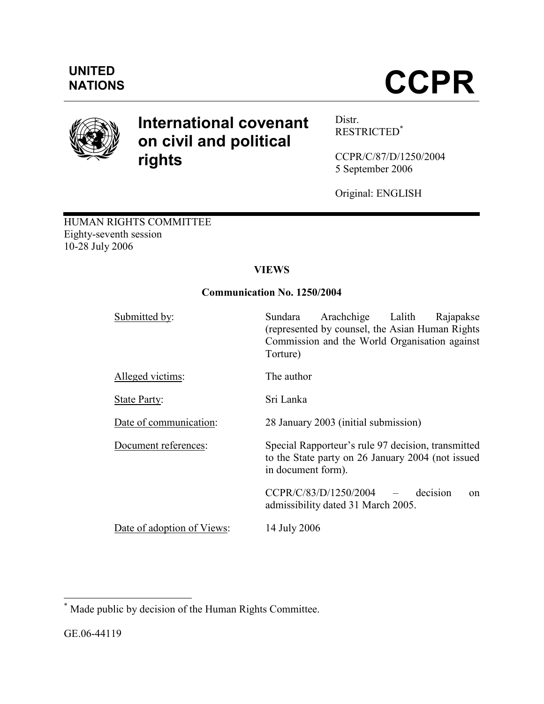

# International covenant on civil and political rights

Distr. RESTRICTED\*

CCPR/C/87/D/1250/2004 5 September 2006

Original: ENGLISH

HUMAN RIGHTS COMMITTEE Eighty-seventh session 10-28 July 2006

# **VIEWS**

# Communication No. 1250/2004

| Submitted by:              | Arachchige Lalith<br>Sundara<br>Rajapakse<br>(represented by counsel, the Asian Human Rights)<br>Commission and the World Organisation against<br>Torture) |
|----------------------------|------------------------------------------------------------------------------------------------------------------------------------------------------------|
| Alleged victims:           | The author                                                                                                                                                 |
| State Party:               | Sri Lanka                                                                                                                                                  |
| Date of communication:     | 28 January 2003 (initial submission)                                                                                                                       |
| Document references:       | Special Rapporteur's rule 97 decision, transmitted<br>to the State party on 26 January 2004 (not issued<br>in document form).                              |
|                            | $CCPR/C/83/D/1250/2004$ -<br>decision<br>$\alpha$<br>admissibility dated 31 March 2005.                                                                    |
| Date of adoption of Views: | 14 July 2006                                                                                                                                               |

 \* Made public by decision of the Human Rights Committee.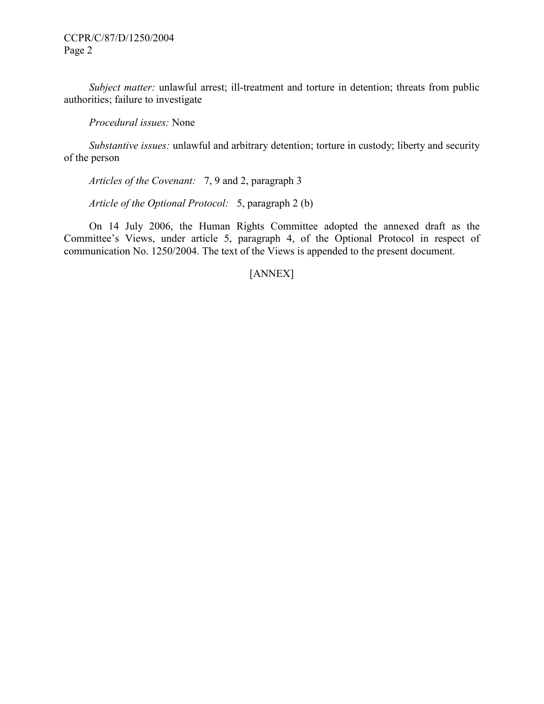Subject matter: unlawful arrest; ill-treatment and torture in detention; threats from public authorities; failure to investigate

Procedural issues: None

 Substantive issues: unlawful and arbitrary detention; torture in custody; liberty and security of the person

Articles of the Covenant: 7, 9 and 2, paragraph 3

Article of the Optional Protocol: 5, paragraph 2 (b)

 On 14 July 2006, the Human Rights Committee adopted the annexed draft as the Committee's Views, under article 5, paragraph 4, of the Optional Protocol in respect of communication No. 1250/2004. The text of the Views is appended to the present document.

# [ANNEX]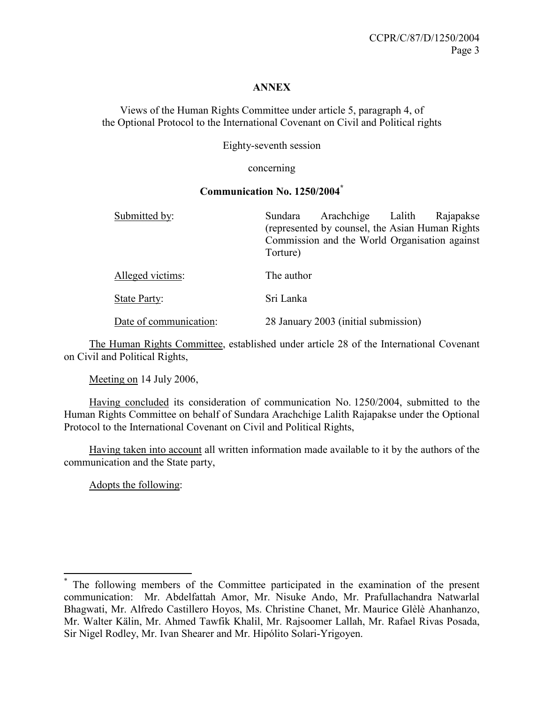#### **ANNEX**

Views of the Human Rights Committee under article 5, paragraph 4, of the Optional Protocol to the International Covenant on Civil and Political rights

Eighty-seventh session

concerning

#### Communication No. 1250/2004\*

| Submitted by:          | Arachchige Lalith<br>Rajapakse<br>Sundara<br>(represented by counsel, the Asian Human Rights) |
|------------------------|-----------------------------------------------------------------------------------------------|
|                        | Commission and the World Organisation against<br>Torture)                                     |
| Alleged victims:       | The author                                                                                    |
| <b>State Party:</b>    | Sri Lanka                                                                                     |
| Date of communication: | 28 January 2003 (initial submission)                                                          |

 The Human Rights Committee, established under article 28 of the International Covenant on Civil and Political Rights,

Meeting on 14 July 2006,

 Having concluded its consideration of communication No. 1250/2004, submitted to the Human Rights Committee on behalf of Sundara Arachchige Lalith Rajapakse under the Optional Protocol to the International Covenant on Civil and Political Rights,

 Having taken into account all written information made available to it by the authors of the communication and the State party,

Adopts the following:

<sup>\*</sup> The following members of the Committee participated in the examination of the present communication: Mr. Abdelfattah Amor, Mr. Nisuke Ando, Mr. Prafullachandra Natwarlal Bhagwati, Mr. Alfredo Castillero Hoyos, Ms. Christine Chanet, Mr. Maurice Glèlè Ahanhanzo, Mr. Walter Kälin, Mr. Ahmed Tawfik Khalil, Mr. Rajsoomer Lallah, Mr. Rafael Rivas Posada, Sir Nigel Rodley, Mr. Ivan Shearer and Mr. Hipólito Solari-Yrigoyen.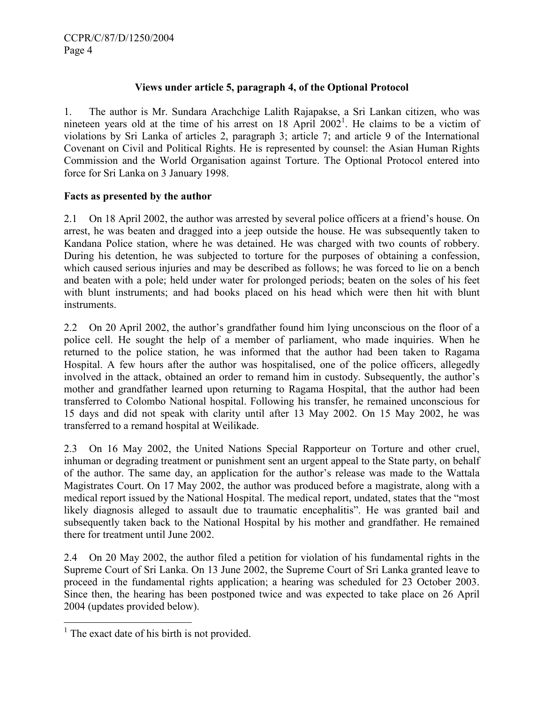### Views under article 5, paragraph 4, of the Optional Protocol

1. The author is Mr. Sundara Arachchige Lalith Rajapakse, a Sri Lankan citizen, who was nineteen years old at the time of his arrest on  $18$  April  $2002<sup>1</sup>$ . He claims to be a victim of violations by Sri Lanka of articles 2, paragraph 3; article 7; and article 9 of the International Covenant on Civil and Political Rights. He is represented by counsel: the Asian Human Rights Commission and the World Organisation against Torture. The Optional Protocol entered into force for Sri Lanka on 3 January 1998.

#### Facts as presented by the author

2.1 On 18 April 2002, the author was arrested by several police officers at a friend's house. On arrest, he was beaten and dragged into a jeep outside the house. He was subsequently taken to Kandana Police station, where he was detained. He was charged with two counts of robbery. During his detention, he was subjected to torture for the purposes of obtaining a confession, which caused serious injuries and may be described as follows; he was forced to lie on a bench and beaten with a pole; held under water for prolonged periods; beaten on the soles of his feet with blunt instruments; and had books placed on his head which were then hit with blunt instruments.

2.2 On 20 April 2002, the author's grandfather found him lying unconscious on the floor of a police cell. He sought the help of a member of parliament, who made inquiries. When he returned to the police station, he was informed that the author had been taken to Ragama Hospital. A few hours after the author was hospitalised, one of the police officers, allegedly involved in the attack, obtained an order to remand him in custody. Subsequently, the author's mother and grandfather learned upon returning to Ragama Hospital, that the author had been transferred to Colombo National hospital. Following his transfer, he remained unconscious for 15 days and did not speak with clarity until after 13 May 2002. On 15 May 2002, he was transferred to a remand hospital at Weilikade.

2.3 On 16 May 2002, the United Nations Special Rapporteur on Torture and other cruel, inhuman or degrading treatment or punishment sent an urgent appeal to the State party, on behalf of the author. The same day, an application for the author's release was made to the Wattala Magistrates Court. On 17 May 2002, the author was produced before a magistrate, along with a medical report issued by the National Hospital. The medical report, undated, states that the "most likely diagnosis alleged to assault due to traumatic encephalitis". He was granted bail and subsequently taken back to the National Hospital by his mother and grandfather. He remained there for treatment until June 2002.

2.4 On 20 May 2002, the author filed a petition for violation of his fundamental rights in the Supreme Court of Sri Lanka. On 13 June 2002, the Supreme Court of Sri Lanka granted leave to proceed in the fundamental rights application; a hearing was scheduled for 23 October 2003. Since then, the hearing has been postponed twice and was expected to take place on 26 April 2004 (updates provided below).

<sup>&</sup>lt;sup>1</sup> The exact date of his birth is not provided.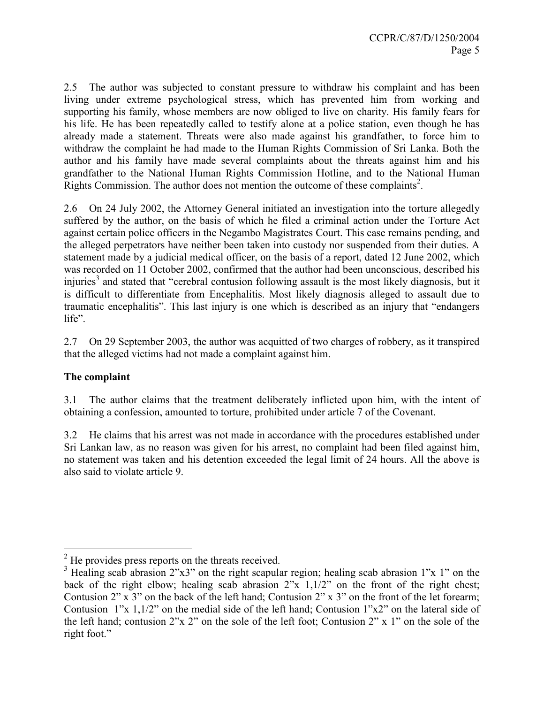2.5 The author was subjected to constant pressure to withdraw his complaint and has been living under extreme psychological stress, which has prevented him from working and supporting his family, whose members are now obliged to live on charity. His family fears for his life. He has been repeatedly called to testify alone at a police station, even though he has already made a statement. Threats were also made against his grandfather, to force him to withdraw the complaint he had made to the Human Rights Commission of Sri Lanka. Both the author and his family have made several complaints about the threats against him and his grandfather to the National Human Rights Commission Hotline, and to the National Human Rights Commission. The author does not mention the outcome of these complaints<sup>2</sup>.

2.6 On 24 July 2002, the Attorney General initiated an investigation into the torture allegedly suffered by the author, on the basis of which he filed a criminal action under the Torture Act against certain police officers in the Negambo Magistrates Court. This case remains pending, and the alleged perpetrators have neither been taken into custody nor suspended from their duties. A statement made by a judicial medical officer, on the basis of a report, dated 12 June 2002, which was recorded on 11 October 2002, confirmed that the author had been unconscious, described his injuries<sup>3</sup> and stated that "cerebral contusion following assault is the most likely diagnosis, but it is difficult to differentiate from Encephalitis. Most likely diagnosis alleged to assault due to traumatic encephalitis". This last injury is one which is described as an injury that "endangers life".

2.7 On 29 September 2003, the author was acquitted of two charges of robbery, as it transpired that the alleged victims had not made a complaint against him.

# The complaint

 $\overline{a}$ 

3.1 The author claims that the treatment deliberately inflicted upon him, with the intent of obtaining a confession, amounted to torture, prohibited under article 7 of the Covenant.

3.2 He claims that his arrest was not made in accordance with the procedures established under Sri Lankan law, as no reason was given for his arrest, no complaint had been filed against him, no statement was taken and his detention exceeded the legal limit of 24 hours. All the above is also said to violate article 9.

 $2<sup>2</sup>$  He provides press reports on the threats received.

<sup>&</sup>lt;sup>3</sup> Healing scab abrasion  $2^{\prime\prime}x3^{\prime\prime}$  on the right scapular region; healing scab abrasion 1"x 1" on the back of the right elbow; healing scab abrasion 2"x 1,1/2" on the front of the right chest; Contusion 2" x 3" on the back of the left hand; Contusion 2" x 3" on the front of the let forearm; Contusion 1"x 1,1/2" on the medial side of the left hand; Contusion 1"x2" on the lateral side of the left hand; contusion 2"x 2" on the sole of the left foot; Contusion 2" x 1" on the sole of the right foot."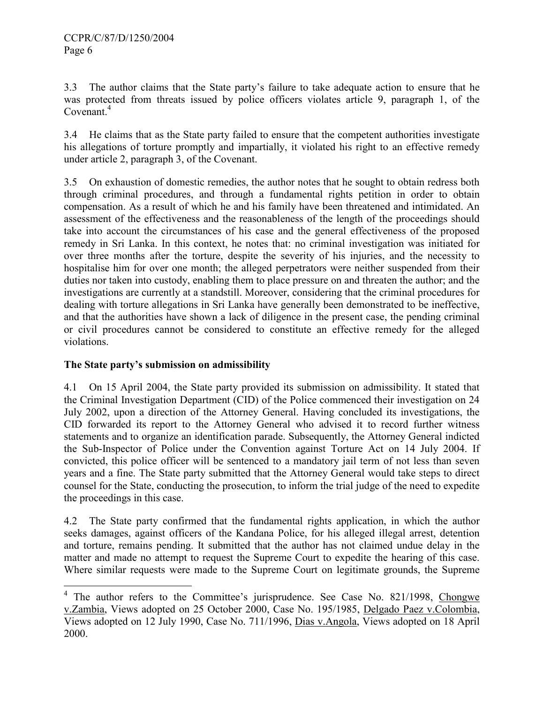3.3 The author claims that the State party's failure to take adequate action to ensure that he was protected from threats issued by police officers violates article 9, paragraph 1, of the Covenant.<sup>4</sup>

3.4 He claims that as the State party failed to ensure that the competent authorities investigate his allegations of torture promptly and impartially, it violated his right to an effective remedy under article 2, paragraph 3, of the Covenant.

3.5 On exhaustion of domestic remedies, the author notes that he sought to obtain redress both through criminal procedures, and through a fundamental rights petition in order to obtain compensation. As a result of which he and his family have been threatened and intimidated. An assessment of the effectiveness and the reasonableness of the length of the proceedings should take into account the circumstances of his case and the general effectiveness of the proposed remedy in Sri Lanka. In this context, he notes that: no criminal investigation was initiated for over three months after the torture, despite the severity of his injuries, and the necessity to hospitalise him for over one month; the alleged perpetrators were neither suspended from their duties nor taken into custody, enabling them to place pressure on and threaten the author; and the investigations are currently at a standstill. Moreover, considering that the criminal procedures for dealing with torture allegations in Sri Lanka have generally been demonstrated to be ineffective, and that the authorities have shown a lack of diligence in the present case, the pending criminal or civil procedures cannot be considered to constitute an effective remedy for the alleged violations.

# The State party's submission on admissibility

4.1 On 15 April 2004, the State party provided its submission on admissibility. It stated that the Criminal Investigation Department (CID) of the Police commenced their investigation on 24 July 2002, upon a direction of the Attorney General. Having concluded its investigations, the CID forwarded its report to the Attorney General who advised it to record further witness statements and to organize an identification parade. Subsequently, the Attorney General indicted the Sub-Inspector of Police under the Convention against Torture Act on 14 July 2004. If convicted, this police officer will be sentenced to a mandatory jail term of not less than seven years and a fine. The State party submitted that the Attorney General would take steps to direct counsel for the State, conducting the prosecution, to inform the trial judge of the need to expedite the proceedings in this case.

4.2 The State party confirmed that the fundamental rights application, in which the author seeks damages, against officers of the Kandana Police, for his alleged illegal arrest, detention and torture, remains pending. It submitted that the author has not claimed undue delay in the matter and made no attempt to request the Supreme Court to expedite the hearing of this case. Where similar requests were made to the Supreme Court on legitimate grounds, the Supreme

<sup>&</sup>lt;sup>4</sup> The author refers to the Committee's jurisprudence. See Case No. 821/1998, Chongwe v.Zambia, Views adopted on 25 October 2000, Case No. 195/1985, Delgado Paez v.Colombia, Views adopted on 12 July 1990, Case No. 711/1996, Dias v.Angola, Views adopted on 18 April 2000.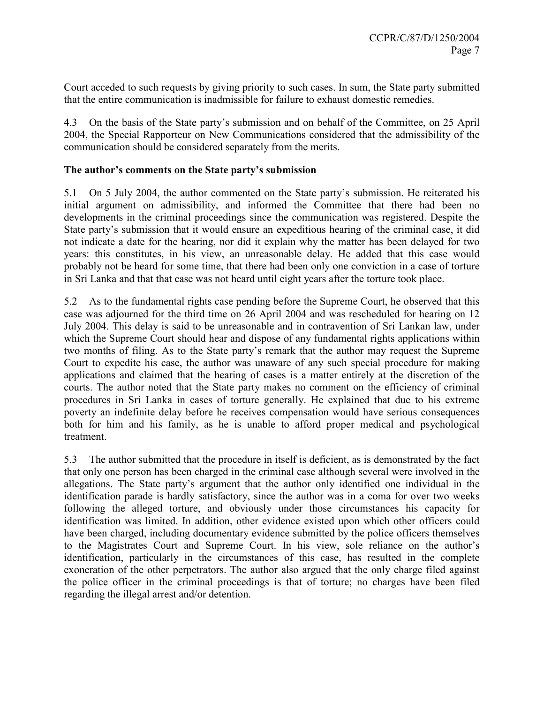Court acceded to such requests by giving priority to such cases. In sum, the State party submitted that the entire communication is inadmissible for failure to exhaust domestic remedies.

4.3 On the basis of the State party's submission and on behalf of the Committee, on 25 April 2004, the Special Rapporteur on New Communications considered that the admissibility of the communication should be considered separately from the merits.

#### The author's comments on the State party's submission

5.1 On 5 July 2004, the author commented on the State party's submission. He reiterated his initial argument on admissibility, and informed the Committee that there had been no developments in the criminal proceedings since the communication was registered. Despite the State party's submission that it would ensure an expeditious hearing of the criminal case, it did not indicate a date for the hearing, nor did it explain why the matter has been delayed for two years: this constitutes, in his view, an unreasonable delay. He added that this case would probably not be heard for some time, that there had been only one conviction in a case of torture in Sri Lanka and that that case was not heard until eight years after the torture took place.

5.2 As to the fundamental rights case pending before the Supreme Court, he observed that this case was adjourned for the third time on 26 April 2004 and was rescheduled for hearing on 12 July 2004. This delay is said to be unreasonable and in contravention of Sri Lankan law, under which the Supreme Court should hear and dispose of any fundamental rights applications within two months of filing. As to the State party's remark that the author may request the Supreme Court to expedite his case, the author was unaware of any such special procedure for making applications and claimed that the hearing of cases is a matter entirely at the discretion of the courts. The author noted that the State party makes no comment on the efficiency of criminal procedures in Sri Lanka in cases of torture generally. He explained that due to his extreme poverty an indefinite delay before he receives compensation would have serious consequences both for him and his family, as he is unable to afford proper medical and psychological treatment.

5.3 The author submitted that the procedure in itself is deficient, as is demonstrated by the fact that only one person has been charged in the criminal case although several were involved in the allegations. The State party's argument that the author only identified one individual in the identification parade is hardly satisfactory, since the author was in a coma for over two weeks following the alleged torture, and obviously under those circumstances his capacity for identification was limited. In addition, other evidence existed upon which other officers could have been charged, including documentary evidence submitted by the police officers themselves to the Magistrates Court and Supreme Court. In his view, sole reliance on the author's identification, particularly in the circumstances of this case, has resulted in the complete exoneration of the other perpetrators. The author also argued that the only charge filed against the police officer in the criminal proceedings is that of torture; no charges have been filed regarding the illegal arrest and/or detention.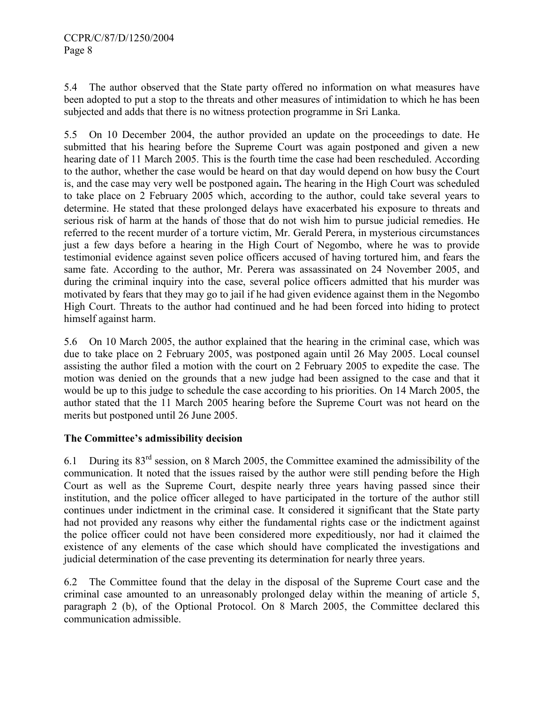5.4 The author observed that the State party offered no information on what measures have been adopted to put a stop to the threats and other measures of intimidation to which he has been subjected and adds that there is no witness protection programme in Sri Lanka.

5.5 On 10 December 2004, the author provided an update on the proceedings to date. He submitted that his hearing before the Supreme Court was again postponed and given a new hearing date of 11 March 2005. This is the fourth time the case had been rescheduled. According to the author, whether the case would be heard on that day would depend on how busy the Court is, and the case may very well be postponed again. The hearing in the High Court was scheduled to take place on 2 February 2005 which, according to the author, could take several years to determine. He stated that these prolonged delays have exacerbated his exposure to threats and serious risk of harm at the hands of those that do not wish him to pursue judicial remedies. He referred to the recent murder of a torture victim, Mr. Gerald Perera, in mysterious circumstances just a few days before a hearing in the High Court of Negombo, where he was to provide testimonial evidence against seven police officers accused of having tortured him, and fears the same fate. According to the author, Mr. Perera was assassinated on 24 November 2005, and during the criminal inquiry into the case, several police officers admitted that his murder was motivated by fears that they may go to jail if he had given evidence against them in the Negombo High Court. Threats to the author had continued and he had been forced into hiding to protect himself against harm.

5.6 On 10 March 2005, the author explained that the hearing in the criminal case, which was due to take place on 2 February 2005, was postponed again until 26 May 2005. Local counsel assisting the author filed a motion with the court on 2 February 2005 to expedite the case. The motion was denied on the grounds that a new judge had been assigned to the case and that it would be up to this judge to schedule the case according to his priorities. On 14 March 2005, the author stated that the 11 March 2005 hearing before the Supreme Court was not heard on the merits but postponed until 26 June 2005.

# The Committee's admissibility decision

6.1 During its 83rd session, on 8 March 2005, the Committee examined the admissibility of the communication. It noted that the issues raised by the author were still pending before the High Court as well as the Supreme Court, despite nearly three years having passed since their institution, and the police officer alleged to have participated in the torture of the author still continues under indictment in the criminal case. It considered it significant that the State party had not provided any reasons why either the fundamental rights case or the indictment against the police officer could not have been considered more expeditiously, nor had it claimed the existence of any elements of the case which should have complicated the investigations and judicial determination of the case preventing its determination for nearly three years.

6.2 The Committee found that the delay in the disposal of the Supreme Court case and the criminal case amounted to an unreasonably prolonged delay within the meaning of article 5, paragraph 2 (b), of the Optional Protocol. On 8 March 2005, the Committee declared this communication admissible.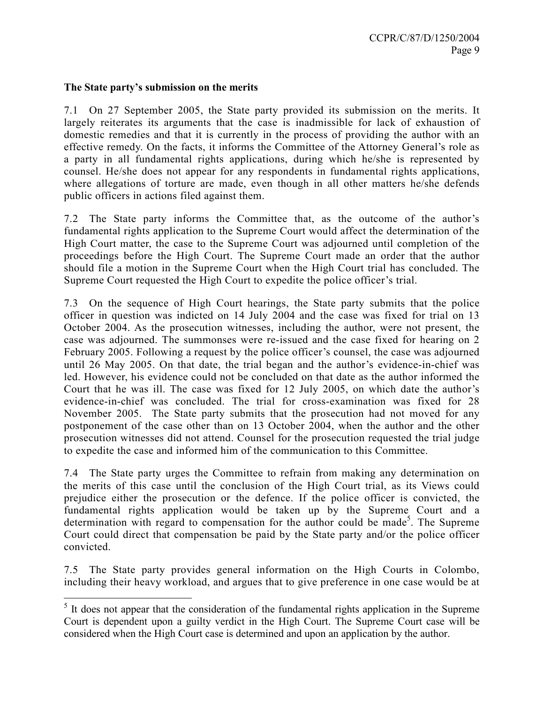#### The State party's submission on the merits

7.1 On 27 September 2005, the State party provided its submission on the merits. It largely reiterates its arguments that the case is inadmissible for lack of exhaustion of domestic remedies and that it is currently in the process of providing the author with an effective remedy. On the facts, it informs the Committee of the Attorney General's role as a party in all fundamental rights applications, during which he/she is represented by counsel. He/she does not appear for any respondents in fundamental rights applications, where allegations of torture are made, even though in all other matters he/she defends public officers in actions filed against them.

7.2 The State party informs the Committee that, as the outcome of the author's fundamental rights application to the Supreme Court would affect the determination of the High Court matter, the case to the Supreme Court was adjourned until completion of the proceedings before the High Court. The Supreme Court made an order that the author should file a motion in the Supreme Court when the High Court trial has concluded. The Supreme Court requested the High Court to expedite the police officer's trial.

7.3 On the sequence of High Court hearings, the State party submits that the police officer in question was indicted on 14 July 2004 and the case was fixed for trial on 13 October 2004. As the prosecution witnesses, including the author, were not present, the case was adjourned. The summonses were re-issued and the case fixed for hearing on 2 February 2005. Following a request by the police officer's counsel, the case was adjourned until 26 May 2005. On that date, the trial began and the author's evidence-in-chief was led. However, his evidence could not be concluded on that date as the author informed the Court that he was ill. The case was fixed for 12 July 2005, on which date the author's evidence-in-chief was concluded. The trial for cross-examination was fixed for 28 November 2005. The State party submits that the prosecution had not moved for any postponement of the case other than on 13 October 2004, when the author and the other prosecution witnesses did not attend. Counsel for the prosecution requested the trial judge to expedite the case and informed him of the communication to this Committee.

7.4 The State party urges the Committee to refrain from making any determination on the merits of this case until the conclusion of the High Court trial, as its Views could prejudice either the prosecution or the defence. If the police officer is convicted, the fundamental rights application would be taken up by the Supreme Court and a determination with regard to compensation for the author could be made<sup>5</sup>. The Supreme Court could direct that compensation be paid by the State party and/or the police officer convicted.

7.5 The State party provides general information on the High Courts in Colombo, including their heavy workload, and argues that to give preference in one case would be at

 $\overline{a}$ <sup>5</sup> It does not appear that the consideration of the fundamental rights application in the Supreme Court is dependent upon a guilty verdict in the High Court. The Supreme Court case will be considered when the High Court case is determined and upon an application by the author.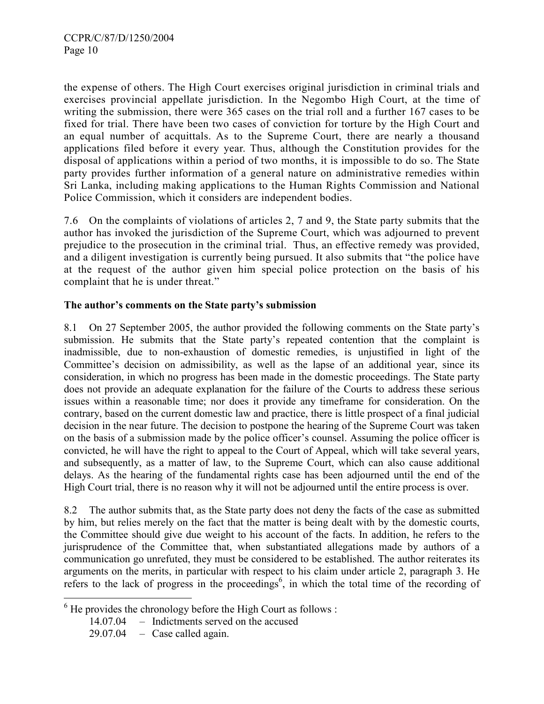the expense of others. The High Court exercises original jurisdiction in criminal trials and exercises provincial appellate jurisdiction. In the Negombo High Court, at the time of writing the submission, there were 365 cases on the trial roll and a further 167 cases to be fixed for trial. There have been two cases of conviction for torture by the High Court and an equal number of acquittals. As to the Supreme Court, there are nearly a thousand applications filed before it every year. Thus, although the Constitution provides for the disposal of applications within a period of two months, it is impossible to do so. The State party provides further information of a general nature on administrative remedies within Sri Lanka, including making applications to the Human Rights Commission and National Police Commission, which it considers are independent bodies.

7.6 On the complaints of violations of articles 2, 7 and 9, the State party submits that the author has invoked the jurisdiction of the Supreme Court, which was adjourned to prevent prejudice to the prosecution in the criminal trial. Thus, an effective remedy was provided, and a diligent investigation is currently being pursued. It also submits that "the police have at the request of the author given him special police protection on the basis of his complaint that he is under threat."

# The author's comments on the State party's submission

8.1 On 27 September 2005, the author provided the following comments on the State party's submission. He submits that the State party's repeated contention that the complaint is inadmissible, due to non-exhaustion of domestic remedies, is unjustified in light of the Committee's decision on admissibility, as well as the lapse of an additional year, since its consideration, in which no progress has been made in the domestic proceedings. The State party does not provide an adequate explanation for the failure of the Courts to address these serious issues within a reasonable time; nor does it provide any timeframe for consideration. On the contrary, based on the current domestic law and practice, there is little prospect of a final judicial decision in the near future. The decision to postpone the hearing of the Supreme Court was taken on the basis of a submission made by the police officer's counsel. Assuming the police officer is convicted, he will have the right to appeal to the Court of Appeal, which will take several years, and subsequently, as a matter of law, to the Supreme Court, which can also cause additional delays. As the hearing of the fundamental rights case has been adjourned until the end of the High Court trial, there is no reason why it will not be adjourned until the entire process is over.

8.2 The author submits that, as the State party does not deny the facts of the case as submitted by him, but relies merely on the fact that the matter is being dealt with by the domestic courts, the Committee should give due weight to his account of the facts. In addition, he refers to the jurisprudence of the Committee that, when substantiated allegations made by authors of a communication go unrefuted, they must be considered to be established. The author reiterates its arguments on the merits, in particular with respect to his claim under article 2, paragraph 3. He refers to the lack of progress in the proceedings<sup>6</sup>, in which the total time of the recording of

 $\overline{a}$ 

 $6$  He provides the chronology before the High Court as follows :

<sup>14.07.04 –</sup> Indictments served on the accused

 $29.07.04$  – Case called again.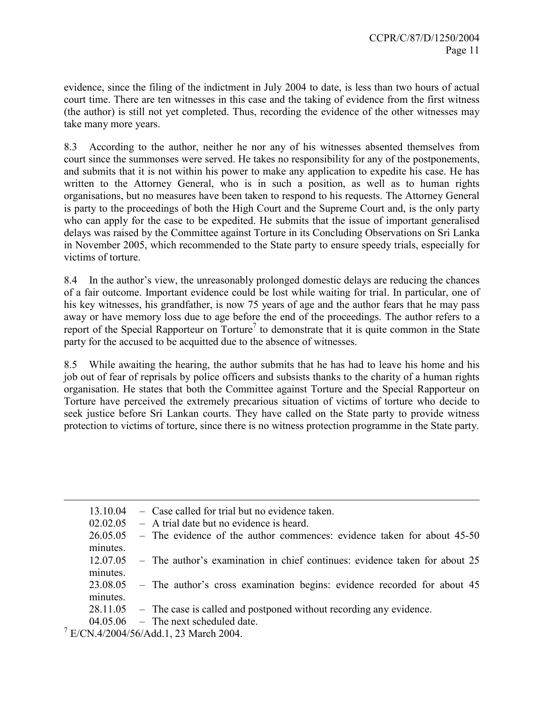evidence, since the filing of the indictment in July 2004 to date, is less than two hours of actual court time. There are ten witnesses in this case and the taking of evidence from the first witness (the author) is still not yet completed. Thus, recording the evidence of the other witnesses may take many more years.

8.3 According to the author, neither he nor any of his witnesses absented themselves from court since the summonses were served. He takes no responsibility for any of the postponements, and submits that it is not within his power to make any application to expedite his case. He has written to the Attorney General, who is in such a position, as well as to human rights organisations, but no measures have been taken to respond to his requests. The Attorney General is party to the proceedings of both the High Court and the Supreme Court and, is the only party who can apply for the case to be expedited. He submits that the issue of important generalised delays was raised by the Committee against Torture in its Concluding Observations on Sri Lanka in November 2005, which recommended to the State party to ensure speedy trials, especially for victims of torture.

8.4 In the author's view, the unreasonably prolonged domestic delays are reducing the chances of a fair outcome. Important evidence could be lost while waiting for trial. In particular, one of his key witnesses, his grandfather, is now 75 years of age and the author fears that he may pass away or have memory loss due to age before the end of the proceedings. The author refers to a report of the Special Rapporteur on Torture<sup>7</sup> to demonstrate that it is quite common in the State party for the accused to be acquitted due to the absence of witnesses.

8.5 While awaiting the hearing, the author submits that he has had to leave his home and his job out of fear of reprisals by police officers and subsists thanks to the charity of a human rights organisation. He states that both the Committee against Torture and the Special Rapporteur on Torture have perceived the extremely precarious situation of victims of torture who decide to seek justice before Sri Lankan courts. They have called on the State party to provide witness protection to victims of torture, since there is no witness protection programme in the State party.

| - Case called for trial but no evidence taken.<br>13 10 04 |                                                                                  |
|------------------------------------------------------------|----------------------------------------------------------------------------------|
| - A trial date but no evidence is heard.<br>02.02.05       |                                                                                  |
|                                                            | 26.05.05 – The evidence of the author commences: evidence taken for about 45-50  |
| minutes.                                                   |                                                                                  |
| 12.07.05                                                   | - The author's examination in chief continues: evidence taken for about 25       |
| minutes.                                                   |                                                                                  |
|                                                            | 23.08.05 – The author's cross examination begins: evidence recorded for about 45 |
| minutes.                                                   |                                                                                  |
|                                                            | $28.11.05$ - The case is called and postponed without recording any evidence.    |
| $04.05.06$ - The next scheduled date.                      |                                                                                  |
| $7$ E/CN.4/2004/56/Add.1, 23 March 2004.                   |                                                                                  |

<u>.</u>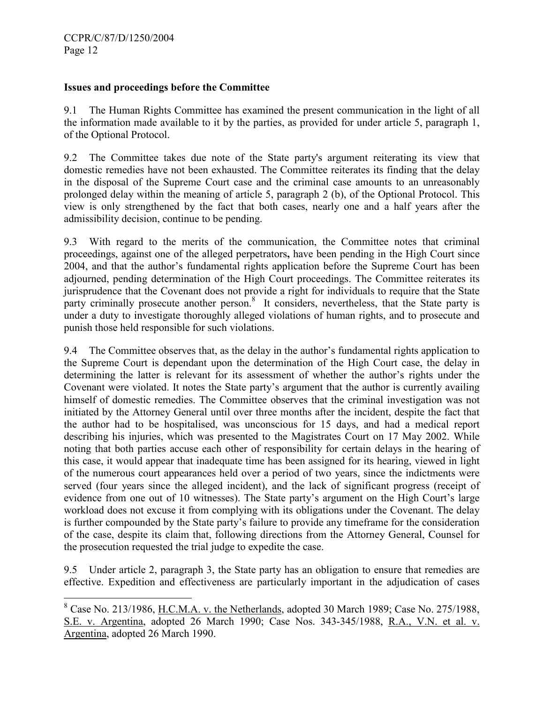-

#### Issues and proceedings before the Committee

9.1 The Human Rights Committee has examined the present communication in the light of all the information made available to it by the parties, as provided for under article 5, paragraph 1, of the Optional Protocol.

9.2 The Committee takes due note of the State party's argument reiterating its view that domestic remedies have not been exhausted. The Committee reiterates its finding that the delay in the disposal of the Supreme Court case and the criminal case amounts to an unreasonably prolonged delay within the meaning of article 5, paragraph 2 (b), of the Optional Protocol. This view is only strengthened by the fact that both cases, nearly one and a half years after the admissibility decision, continue to be pending.

9.3 With regard to the merits of the communication, the Committee notes that criminal proceedings, against one of the alleged perpetrators, have been pending in the High Court since 2004, and that the author's fundamental rights application before the Supreme Court has been adjourned, pending determination of the High Court proceedings. The Committee reiterates its jurisprudence that the Covenant does not provide a right for individuals to require that the State party criminally prosecute another person.<sup>8</sup> It considers, nevertheless, that the State party is under a duty to investigate thoroughly alleged violations of human rights, and to prosecute and punish those held responsible for such violations.

9.4 The Committee observes that, as the delay in the author's fundamental rights application to the Supreme Court is dependant upon the determination of the High Court case, the delay in determining the latter is relevant for its assessment of whether the author's rights under the Covenant were violated. It notes the State party's argument that the author is currently availing himself of domestic remedies. The Committee observes that the criminal investigation was not initiated by the Attorney General until over three months after the incident, despite the fact that the author had to be hospitalised, was unconscious for 15 days, and had a medical report describing his injuries, which was presented to the Magistrates Court on 17 May 2002. While noting that both parties accuse each other of responsibility for certain delays in the hearing of this case, it would appear that inadequate time has been assigned for its hearing, viewed in light of the numerous court appearances held over a period of two years, since the indictments were served (four years since the alleged incident), and the lack of significant progress (receipt of evidence from one out of 10 witnesses). The State party's argument on the High Court's large workload does not excuse it from complying with its obligations under the Covenant. The delay is further compounded by the State party's failure to provide any timeframe for the consideration of the case, despite its claim that, following directions from the Attorney General, Counsel for the prosecution requested the trial judge to expedite the case.

9.5 Under article 2, paragraph 3, the State party has an obligation to ensure that remedies are effective. Expedition and effectiveness are particularly important in the adjudication of cases

 $8$  Case No. 213/1986, <u>H.C.M.A. v. the Netherlands</u>, adopted 30 March 1989; Case No. 275/1988, S.E. v. Argentina, adopted 26 March 1990; Case Nos. 343-345/1988, R.A., V.N. et al. v. Argentina, adopted 26 March 1990.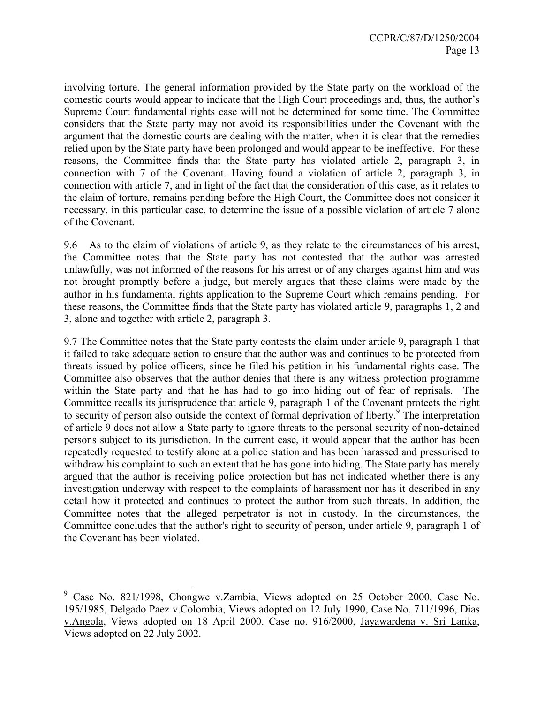involving torture. The general information provided by the State party on the workload of the domestic courts would appear to indicate that the High Court proceedings and, thus, the author's Supreme Court fundamental rights case will not be determined for some time. The Committee considers that the State party may not avoid its responsibilities under the Covenant with the argument that the domestic courts are dealing with the matter, when it is clear that the remedies relied upon by the State party have been prolonged and would appear to be ineffective. For these reasons, the Committee finds that the State party has violated article 2, paragraph 3, in connection with 7 of the Covenant. Having found a violation of article 2, paragraph 3, in connection with article 7, and in light of the fact that the consideration of this case, as it relates to the claim of torture, remains pending before the High Court, the Committee does not consider it necessary, in this particular case, to determine the issue of a possible violation of article 7 alone of the Covenant.

9.6 As to the claim of violations of article 9, as they relate to the circumstances of his arrest, the Committee notes that the State party has not contested that the author was arrested unlawfully, was not informed of the reasons for his arrest or of any charges against him and was not brought promptly before a judge, but merely argues that these claims were made by the author in his fundamental rights application to the Supreme Court which remains pending. For these reasons, the Committee finds that the State party has violated article 9, paragraphs 1, 2 and 3, alone and together with article 2, paragraph 3.

9.7 The Committee notes that the State party contests the claim under article 9, paragraph 1 that it failed to take adequate action to ensure that the author was and continues to be protected from threats issued by police officers, since he filed his petition in his fundamental rights case. The Committee also observes that the author denies that there is any witness protection programme within the State party and that he has had to go into hiding out of fear of reprisals. The Committee recalls its jurisprudence that article 9, paragraph 1 of the Covenant protects the right to security of person also outside the context of formal deprivation of liberty.<sup>9</sup> The interpretation of article 9 does not allow a State party to ignore threats to the personal security of non-detained persons subject to its jurisdiction. In the current case, it would appear that the author has been repeatedly requested to testify alone at a police station and has been harassed and pressurised to withdraw his complaint to such an extent that he has gone into hiding. The State party has merely argued that the author is receiving police protection but has not indicated whether there is any investigation underway with respect to the complaints of harassment nor has it described in any detail how it protected and continues to protect the author from such threats. In addition, the Committee notes that the alleged perpetrator is not in custody. In the circumstances, the Committee concludes that the author's right to security of person, under article 9, paragraph 1 of the Covenant has been violated.

 $\overline{a}$ 9 Case No. 821/1998, Chongwe v.Zambia, Views adopted on 25 October 2000, Case No. 195/1985, Delgado Paez v.Colombia, Views adopted on 12 July 1990, Case No. 711/1996, Dias v.Angola, Views adopted on 18 April 2000. Case no. 916/2000, Jayawardena v. Sri Lanka, Views adopted on 22 July 2002.